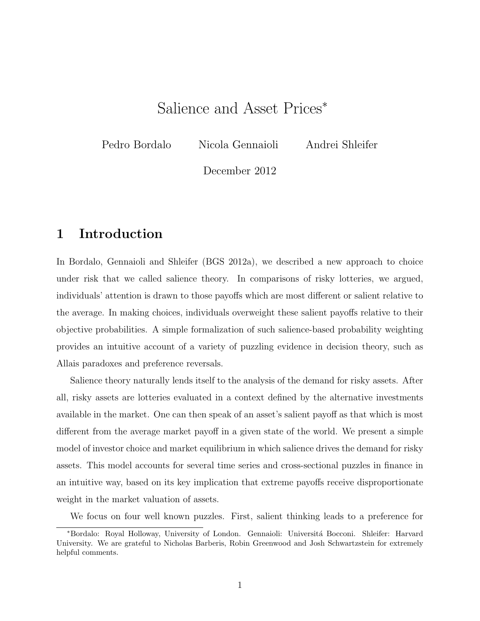# Salience and Asset Prices<sup>∗</sup>

Pedro Bordalo Nicola Gennaioli Andrei Shleifer

December 2012

## 1 Introduction

In Bordalo, Gennaioli and Shleifer (BGS 2012a), we described a new approach to choice under risk that we called salience theory. In comparisons of risky lotteries, we argued, individuals' attention is drawn to those payoffs which are most different or salient relative to the average. In making choices, individuals overweight these salient payoffs relative to their objective probabilities. A simple formalization of such salience-based probability weighting provides an intuitive account of a variety of puzzling evidence in decision theory, such as Allais paradoxes and preference reversals.

Salience theory naturally lends itself to the analysis of the demand for risky assets. After all, risky assets are lotteries evaluated in a context defined by the alternative investments available in the market. One can then speak of an asset's salient payoff as that which is most different from the average market payoff in a given state of the world. We present a simple model of investor choice and market equilibrium in which salience drives the demand for risky assets. This model accounts for several time series and cross-sectional puzzles in finance in an intuitive way, based on its key implication that extreme payoffs receive disproportionate weight in the market valuation of assets.

We focus on four well known puzzles. First, salient thinking leads to a preference for

<sup>∗</sup>Bordalo: Royal Holloway, University of London. Gennaioli: Universit´a Bocconi. Shleifer: Harvard University. We are grateful to Nicholas Barberis, Robin Greenwood and Josh Schwartzstein for extremely helpful comments.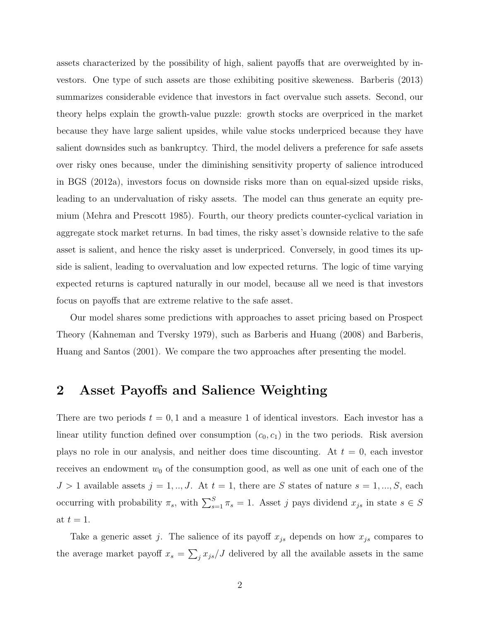assets characterized by the possibility of high, salient payoffs that are overweighted by investors. One type of such assets are those exhibiting positive skeweness. Barberis (2013) summarizes considerable evidence that investors in fact overvalue such assets. Second, our theory helps explain the growth-value puzzle: growth stocks are overpriced in the market because they have large salient upsides, while value stocks underpriced because they have salient downsides such as bankruptcy. Third, the model delivers a preference for safe assets over risky ones because, under the diminishing sensitivity property of salience introduced in BGS (2012a), investors focus on downside risks more than on equal-sized upside risks, leading to an undervaluation of risky assets. The model can thus generate an equity premium (Mehra and Prescott 1985). Fourth, our theory predicts counter-cyclical variation in aggregate stock market returns. In bad times, the risky asset's downside relative to the safe asset is salient, and hence the risky asset is underpriced. Conversely, in good times its upside is salient, leading to overvaluation and low expected returns. The logic of time varying expected returns is captured naturally in our model, because all we need is that investors focus on payoffs that are extreme relative to the safe asset.

Our model shares some predictions with approaches to asset pricing based on Prospect Theory (Kahneman and Tversky 1979), such as Barberis and Huang (2008) and Barberis, Huang and Santos (2001). We compare the two approaches after presenting the model.

#### 2 Asset Payoffs and Salience Weighting

There are two periods  $t = 0, 1$  and a measure 1 of identical investors. Each investor has a linear utility function defined over consumption  $(c_0, c_1)$  in the two periods. Risk aversion plays no role in our analysis, and neither does time discounting. At  $t = 0$ , each investor receives an endowment  $w_0$  of the consumption good, as well as one unit of each one of the  $J > 1$  available assets  $j = 1, ..., J$ . At  $t = 1$ , there are S states of nature  $s = 1, ..., S$ , each occurring with probability  $\pi_s$ , with  $\sum_{s=1}^S \pi_s = 1$ . Asset j pays dividend  $x_{js}$  in state  $s \in S$ at  $t = 1$ .

Take a generic asset j. The salience of its payoff  $x_{j,s}$  depends on how  $x_{j,s}$  compares to the average market payoff  $x_s = \sum_j x_{js}/J$  delivered by all the available assets in the same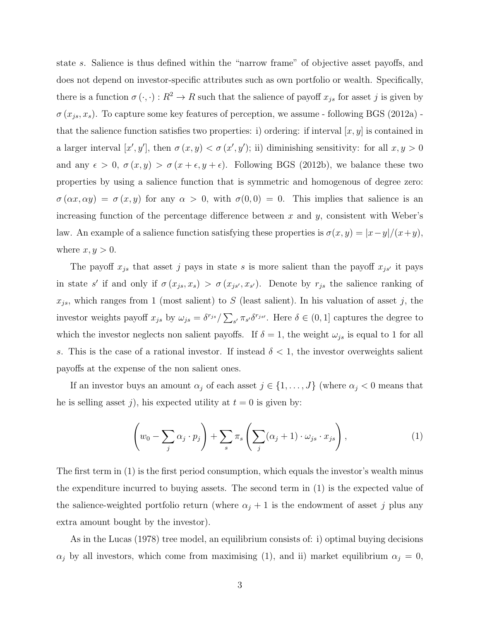state s. Salience is thus defined within the "narrow frame" of objective asset payoffs, and does not depend on investor-specific attributes such as own portfolio or wealth. Specifically, there is a function  $\sigma(\cdot, \cdot) : R^2 \to R$  such that the salience of payoff  $x_{j_s}$  for asset j is given by  $\sigma(x_{js}, x_s)$ . To capture some key features of perception, we assume - following BGS (2012a) that the salience function satisfies two properties: i) ordering: if interval  $[x, y]$  is contained in a larger interval  $[x', y']$ , then  $\sigma(x, y) < \sigma(x', y')$ ; ii) diminishing sensitivity: for all  $x, y > 0$ and any  $\epsilon > 0$ ,  $\sigma(x, y) > \sigma(x + \epsilon, y + \epsilon)$ . Following BGS (2012b), we balance these two properties by using a salience function that is symmetric and homogenous of degree zero:  $\sigma(\alpha x, \alpha y) = \sigma(x, y)$  for any  $\alpha > 0$ , with  $\sigma(0, 0) = 0$ . This implies that salience is an increasing function of the percentage difference between  $x$  and  $y$ , consistent with Weber's law. An example of a salience function satisfying these properties is  $\sigma(x, y) = |x - y|/(x + y)$ , where  $x, y > 0$ .

The payoff  $x_{js}$  that asset j pays in state s is more salient than the payoff  $x_{js'}$  it pays in state s' if and only if  $\sigma(x_{js}, x_s) > \sigma(x_{js}, x_{s})$ . Denote by  $r_{js}$  the salience ranking of  $x_{js}$ , which ranges from 1 (most salient) to S (least salient). In his valuation of asset j, the investor weights payoff  $x_{js}$  by  $\omega_{js} = \delta^{r_{js}} / \sum_{s'} \pi_{s'} \delta^{r_{js'}}$ . Here  $\delta \in (0,1]$  captures the degree to which the investor neglects non salient payoffs. If  $\delta = 1$ , the weight  $\omega_{js}$  is equal to 1 for all s. This is the case of a rational investor. If instead  $\delta < 1$ , the investor overweights salient payoffs at the expense of the non salient ones.

If an investor buys an amount  $\alpha_j$  of each asset  $j \in \{1, ..., J\}$  (where  $\alpha_j < 0$  means that he is selling asset j), his expected utility at  $t = 0$  is given by:

$$
\left(w_0 - \sum_j \alpha_j \cdot p_j\right) + \sum_s \pi_s \left(\sum_j (\alpha_j + 1) \cdot \omega_{js} \cdot x_{js}\right),\tag{1}
$$

The first term in (1) is the first period consumption, which equals the investor's wealth minus the expenditure incurred to buying assets. The second term in (1) is the expected value of the salience-weighted portfolio return (where  $\alpha_j + 1$  is the endowment of asset j plus any extra amount bought by the investor).

As in the Lucas (1978) tree model, an equilibrium consists of: i) optimal buying decisions  $\alpha_j$  by all investors, which come from maximising (1), and ii) market equilibrium  $\alpha_j = 0$ ,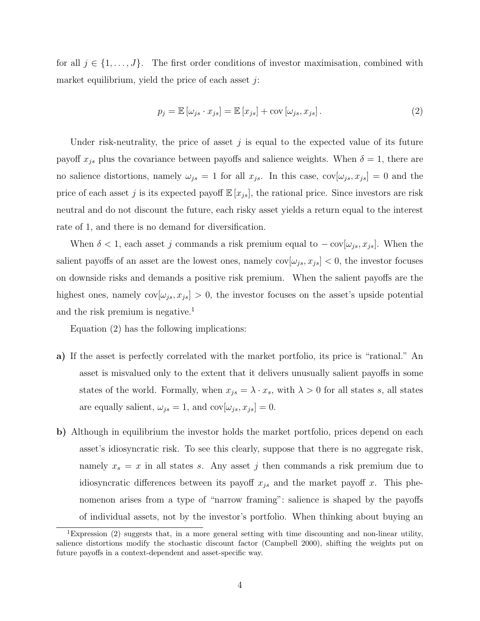for all  $j \in \{1, \ldots, J\}$ . The first order conditions of investor maximisation, combined with market equilibrium, yield the price of each asset  $j$ :

$$
p_j = \mathbb{E}[\omega_{js} \cdot x_{js}] = \mathbb{E}[x_{js}] + \text{cov}[\omega_{js}, x_{js}].
$$
\n(2)

Under risk-neutrality, the price of asset  $j$  is equal to the expected value of its future payoff  $x_{js}$  plus the covariance between payoffs and salience weights. When  $\delta = 1$ , there are no salience distortions, namely  $\omega_{js} = 1$  for all  $x_{js}$ . In this case,  $cov[\omega_{js}, x_{js}] = 0$  and the price of each asset j is its expected payoff  $\mathbb{E}[x_{js}]$ , the rational price. Since investors are risk neutral and do not discount the future, each risky asset yields a return equal to the interest rate of 1, and there is no demand for diversification.

When  $\delta < 1$ , each asset j commands a risk premium equal to  $-\text{cov}[\omega_{js}, x_{js}]$ . When the salient payoffs of an asset are the lowest ones, namely  $\text{cov}[\omega_{js}, x_{js}] < 0$ , the investor focuses on downside risks and demands a positive risk premium. When the salient payoffs are the highest ones, namely  $cov[\omega_{js}, x_{js}] > 0$ , the investor focuses on the asset's upside potential and the risk premium is negative.<sup>1</sup>

Equation (2) has the following implications:

- a) If the asset is perfectly correlated with the market portfolio, its price is "rational." An asset is misvalued only to the extent that it delivers unusually salient payoffs in some states of the world. Formally, when  $x_{js} = \lambda \cdot x_s$ , with  $\lambda > 0$  for all states s, all states are equally salient,  $\omega_{js} = 1$ , and  $\text{cov}[\omega_{js}, x_{js}] = 0$ .
- b) Although in equilibrium the investor holds the market portfolio, prices depend on each asset's idiosyncratic risk. To see this clearly, suppose that there is no aggregate risk, namely  $x_s = x$  in all states s. Any asset j then commands a risk premium due to idiosyncratic differences between its payoff  $x_{j}$  and the market payoff x. This phenomenon arises from a type of "narrow framing": salience is shaped by the payoffs of individual assets, not by the investor's portfolio. When thinking about buying an

<sup>&</sup>lt;sup>1</sup>Expression (2) suggests that, in a more general setting with time discounting and non-linear utility, salience distortions modify the stochastic discount factor (Campbell 2000), shifting the weights put on future payoffs in a context-dependent and asset-specific way.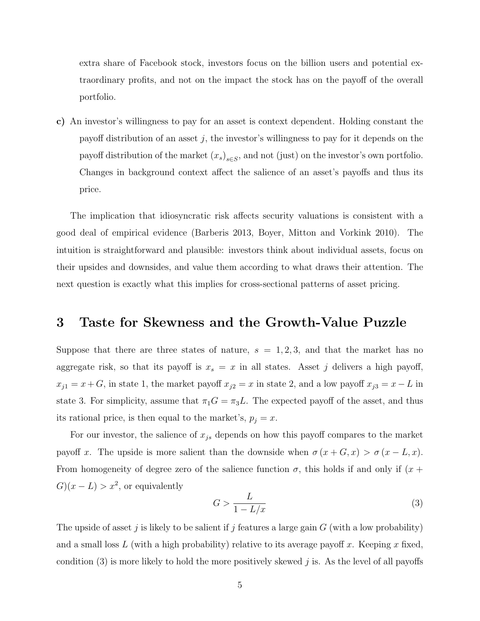extra share of Facebook stock, investors focus on the billion users and potential extraordinary profits, and not on the impact the stock has on the payoff of the overall portfolio.

c) An investor's willingness to pay for an asset is context dependent. Holding constant the payoff distribution of an asset j, the investor's willingness to pay for it depends on the payoff distribution of the market  $(x_s)_{s \in S}$ , and not (just) on the investor's own portfolio. Changes in background context affect the salience of an asset's payoffs and thus its price.

The implication that idiosyncratic risk affects security valuations is consistent with a good deal of empirical evidence (Barberis 2013, Boyer, Mitton and Vorkink 2010). The intuition is straightforward and plausible: investors think about individual assets, focus on their upsides and downsides, and value them according to what draws their attention. The next question is exactly what this implies for cross-sectional patterns of asset pricing.

#### 3 Taste for Skewness and the Growth-Value Puzzle

Suppose that there are three states of nature,  $s = 1, 2, 3$ , and that the market has no aggregate risk, so that its payoff is  $x_s = x$  in all states. Asset j delivers a high payoff,  $x_{j1} = x + G$ , in state 1, the market payoff  $x_{j2} = x$  in state 2, and a low payoff  $x_{j3} = x - L$  in state 3. For simplicity, assume that  $\pi_1 G = \pi_3 L$ . The expected payoff of the asset, and thus its rational price, is then equal to the market's,  $p_j = x$ .

For our investor, the salience of  $x_{j_s}$  depends on how this payoff compares to the market payoff x. The upside is more salient than the downside when  $\sigma(x+G, x) > \sigma(x-L, x)$ . From homogeneity of degree zero of the salience function  $\sigma$ , this holds if and only if  $(x +$  $G(x - L) > x^2$ , or equivalently

$$
G > \frac{L}{1 - L/x} \tag{3}
$$

The upside of asset j is likely to be salient if j features a large gain  $G$  (with a low probability) and a small loss  $L$  (with a high probability) relative to its average payoff x. Keeping x fixed, condition  $(3)$  is more likely to hold the more positively skewed j is. As the level of all payoffs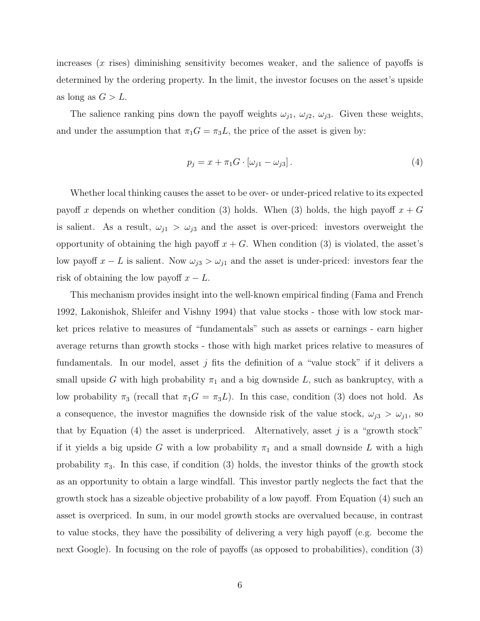increases  $(x \text{ rises})$  diminishing sensitivity becomes weaker, and the salience of payoffs is determined by the ordering property. In the limit, the investor focuses on the asset's upside as long as  $G > L$ .

The salience ranking pins down the payoff weights  $\omega_{j1}, \omega_{j2}, \omega_{j3}$ . Given these weights, and under the assumption that  $\pi_1 G = \pi_3 L$ , the price of the asset is given by:

$$
p_j = x + \pi_1 G \cdot [\omega_{j1} - \omega_{j3}]. \tag{4}
$$

Whether local thinking causes the asset to be over- or under-priced relative to its expected payoff x depends on whether condition (3) holds. When (3) holds, the high payoff  $x + G$ is salient. As a result,  $\omega_{j1} > \omega_{j3}$  and the asset is over-priced: investors overweight the opportunity of obtaining the high payoff  $x + G$ . When condition (3) is violated, the asset's low payoff  $x - L$  is salient. Now  $\omega_{j3} > \omega_{j1}$  and the asset is under-priced: investors fear the risk of obtaining the low payoff  $x - L$ .

This mechanism provides insight into the well-known empirical finding (Fama and French 1992, Lakonishok, Shleifer and Vishny 1994) that value stocks - those with low stock market prices relative to measures of "fundamentals" such as assets or earnings - earn higher average returns than growth stocks - those with high market prices relative to measures of fundamentals. In our model, asset  $j$  fits the definition of a "value stock" if it delivers a small upside G with high probability  $\pi_1$  and a big downside L, such as bankruptcy, with a low probability  $\pi_3$  (recall that  $\pi_1G = \pi_3L$ ). In this case, condition (3) does not hold. As a consequence, the investor magnifies the downside risk of the value stock,  $\omega_{j3} > \omega_{j1}$ , so that by Equation  $(4)$  the asset is underpriced. Alternatively, asset j is a "growth stock" if it yields a big upside G with a low probability  $\pi_1$  and a small downside L with a high probability  $\pi_3$ . In this case, if condition (3) holds, the investor thinks of the growth stock as an opportunity to obtain a large windfall. This investor partly neglects the fact that the growth stock has a sizeable objective probability of a low payoff. From Equation (4) such an asset is overpriced. In sum, in our model growth stocks are overvalued because, in contrast to value stocks, they have the possibility of delivering a very high payoff (e.g. become the next Google). In focusing on the role of payoffs (as opposed to probabilities), condition (3)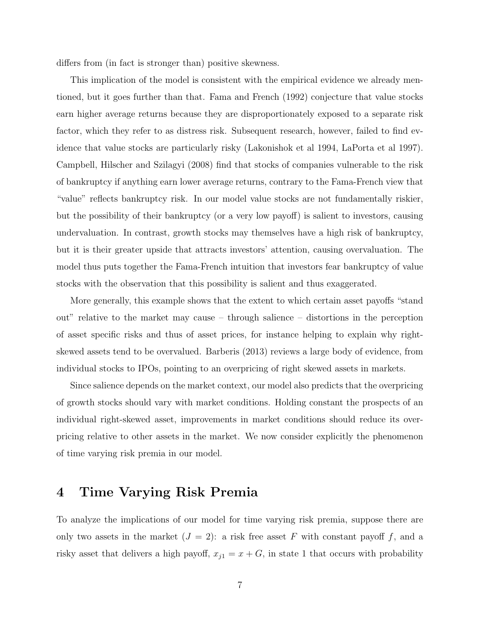differs from (in fact is stronger than) positive skewness.

This implication of the model is consistent with the empirical evidence we already mentioned, but it goes further than that. Fama and French (1992) conjecture that value stocks earn higher average returns because they are disproportionately exposed to a separate risk factor, which they refer to as distress risk. Subsequent research, however, failed to find evidence that value stocks are particularly risky (Lakonishok et al 1994, LaPorta et al 1997). Campbell, Hilscher and Szilagyi (2008) find that stocks of companies vulnerable to the risk of bankruptcy if anything earn lower average returns, contrary to the Fama-French view that "value" reflects bankruptcy risk. In our model value stocks are not fundamentally riskier, but the possibility of their bankruptcy (or a very low payoff) is salient to investors, causing undervaluation. In contrast, growth stocks may themselves have a high risk of bankruptcy, but it is their greater upside that attracts investors' attention, causing overvaluation. The model thus puts together the Fama-French intuition that investors fear bankruptcy of value stocks with the observation that this possibility is salient and thus exaggerated.

More generally, this example shows that the extent to which certain asset payoffs "stand out" relative to the market may cause – through salience – distortions in the perception of asset specific risks and thus of asset prices, for instance helping to explain why rightskewed assets tend to be overvalued. Barberis (2013) reviews a large body of evidence, from individual stocks to IPOs, pointing to an overpricing of right skewed assets in markets.

Since salience depends on the market context, our model also predicts that the overpricing of growth stocks should vary with market conditions. Holding constant the prospects of an individual right-skewed asset, improvements in market conditions should reduce its overpricing relative to other assets in the market. We now consider explicitly the phenomenon of time varying risk premia in our model.

#### 4 Time Varying Risk Premia

To analyze the implications of our model for time varying risk premia, suppose there are only two assets in the market  $(J = 2)$ : a risk free asset F with constant payoff f, and a risky asset that delivers a high payoff,  $x_{j1} = x + G$ , in state 1 that occurs with probability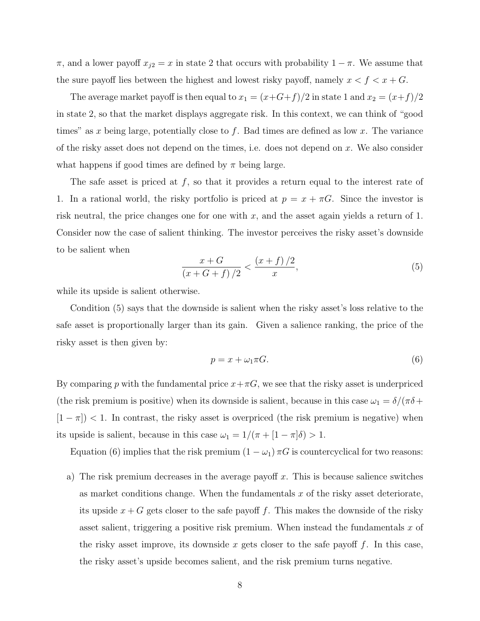π, and a lower payoff  $x_{i2} = x$  in state 2 that occurs with probability  $1 - π$ . We assume that the sure payoff lies between the highest and lowest risky payoff, namely  $x < f < x + G$ .

The average market payoff is then equal to  $x_1 = (x+G+f)/2$  in state 1 and  $x_2 = (x+f)/2$ in state 2, so that the market displays aggregate risk. In this context, we can think of "good times" as x being large, potentially close to f. Bad times are defined as low x. The variance of the risky asset does not depend on the times, i.e. does not depend on x. We also consider what happens if good times are defined by  $\pi$  being large.

The safe asset is priced at  $f$ , so that it provides a return equal to the interest rate of 1. In a rational world, the risky portfolio is priced at  $p = x + \pi G$ . Since the investor is risk neutral, the price changes one for one with  $x$ , and the asset again yields a return of 1. Consider now the case of salient thinking. The investor perceives the risky asset's downside to be salient when

$$
\frac{x+G}{(x+G+f)/2} < \frac{(x+f)/2}{x},\tag{5}
$$

while its upside is salient otherwise.

Condition (5) says that the downside is salient when the risky asset's loss relative to the safe asset is proportionally larger than its gain. Given a salience ranking, the price of the risky asset is then given by:

$$
p = x + \omega_1 \pi G. \tag{6}
$$

By comparing p with the fundamental price  $x+\pi G$ , we see that the risky asset is underpriced (the risk premium is positive) when its downside is salient, because in this case  $\omega_1 = \delta/(\pi \delta +$  $[1 - \pi]$ ) < 1. In contrast, the risky asset is overpriced (the risk premium is negative) when its upside is salient, because in this case  $\omega_1 = 1/(\pi + [1 - \pi]\delta) > 1$ .

Equation (6) implies that the risk premium  $(1 - \omega_1) \pi G$  is countercyclical for two reasons:

a) The risk premium decreases in the average payoff  $x$ . This is because salience switches as market conditions change. When the fundamentals  $x$  of the risky asset deteriorate, its upside  $x + G$  gets closer to the safe payoff f. This makes the downside of the risky asset salient, triggering a positive risk premium. When instead the fundamentals  $x$  of the risky asset improve, its downside x gets closer to the safe payoff  $f$ . In this case, the risky asset's upside becomes salient, and the risk premium turns negative.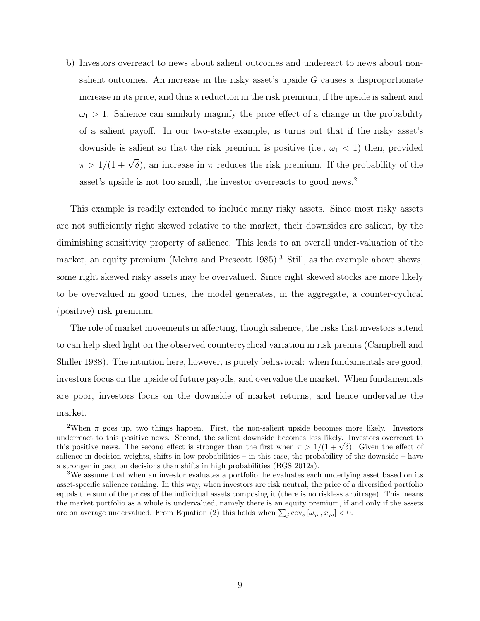b) Investors overreact to news about salient outcomes and undereact to news about nonsalient outcomes. An increase in the risky asset's upside  $G$  causes a disproportionate increase in its price, and thus a reduction in the risk premium, if the upside is salient and  $\omega_1 > 1$ . Salience can similarly magnify the price effect of a change in the probability of a salient payoff. In our two-state example, is turns out that if the risky asset's downside is salient so that the risk premium is positive (i.e.,  $\omega_1 < 1$ ) then, provided  $\pi > 1/(1+\sqrt{\delta})$ , an increase in  $\pi$  reduces the risk premium. If the probability of the asset's upside is not too small, the investor overreacts to good news.<sup>2</sup>

This example is readily extended to include many risky assets. Since most risky assets are not sufficiently right skewed relative to the market, their downsides are salient, by the diminishing sensitivity property of salience. This leads to an overall under-valuation of the market, an equity premium (Mehra and Prescott 1985).<sup>3</sup> Still, as the example above shows. some right skewed risky assets may be overvalued. Since right skewed stocks are more likely to be overvalued in good times, the model generates, in the aggregate, a counter-cyclical (positive) risk premium.

The role of market movements in affecting, though salience, the risks that investors attend to can help shed light on the observed countercyclical variation in risk premia (Campbell and Shiller 1988). The intuition here, however, is purely behavioral: when fundamentals are good, investors focus on the upside of future payoffs, and overvalue the market. When fundamentals are poor, investors focus on the downside of market returns, and hence undervalue the market.

<sup>&</sup>lt;sup>2</sup>When  $\pi$  goes up, two things happen. First, the non-salient upside becomes more likely. Investors underreact to this positive news. Second, the salient downside becomes less likely. Investors overreact to underreact to this positive news. Second, the salient downside becomes less likely. Investors overreact to this positive news. The second effect is stronger than the first when  $\pi > 1/(1 + \sqrt{\delta})$ . Given the effect of salience in decision weights, shifts in low probabilities – in this case, the probability of the downside – have a stronger impact on decisions than shifts in high probabilities (BGS 2012a).

<sup>3</sup>We assume that when an investor evaluates a portfolio, he evaluates each underlying asset based on its asset-specific salience ranking. In this way, when investors are risk neutral, the price of a diversified portfolio equals the sum of the prices of the individual assets composing it (there is no riskless arbitrage). This means the market portfolio as a whole is undervalued, namely there is an equity premium, if and only if the assets are on average undervalued. From Equation (2) this holds when  $\sum_j \text{cov}_s [\omega_{js}, x_{js}] < 0$ .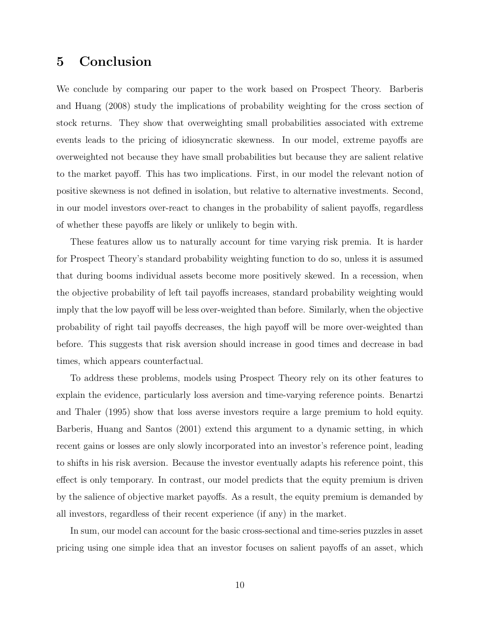### 5 Conclusion

We conclude by comparing our paper to the work based on Prospect Theory. Barberis and Huang (2008) study the implications of probability weighting for the cross section of stock returns. They show that overweighting small probabilities associated with extreme events leads to the pricing of idiosyncratic skewness. In our model, extreme payoffs are overweighted not because they have small probabilities but because they are salient relative to the market payoff. This has two implications. First, in our model the relevant notion of positive skewness is not defined in isolation, but relative to alternative investments. Second, in our model investors over-react to changes in the probability of salient payoffs, regardless of whether these payoffs are likely or unlikely to begin with.

These features allow us to naturally account for time varying risk premia. It is harder for Prospect Theory's standard probability weighting function to do so, unless it is assumed that during booms individual assets become more positively skewed. In a recession, when the objective probability of left tail payoffs increases, standard probability weighting would imply that the low payoff will be less over-weighted than before. Similarly, when the objective probability of right tail payoffs decreases, the high payoff will be more over-weighted than before. This suggests that risk aversion should increase in good times and decrease in bad times, which appears counterfactual.

To address these problems, models using Prospect Theory rely on its other features to explain the evidence, particularly loss aversion and time-varying reference points. Benartzi and Thaler (1995) show that loss averse investors require a large premium to hold equity. Barberis, Huang and Santos (2001) extend this argument to a dynamic setting, in which recent gains or losses are only slowly incorporated into an investor's reference point, leading to shifts in his risk aversion. Because the investor eventually adapts his reference point, this effect is only temporary. In contrast, our model predicts that the equity premium is driven by the salience of objective market payoffs. As a result, the equity premium is demanded by all investors, regardless of their recent experience (if any) in the market.

In sum, our model can account for the basic cross-sectional and time-series puzzles in asset pricing using one simple idea that an investor focuses on salient payoffs of an asset, which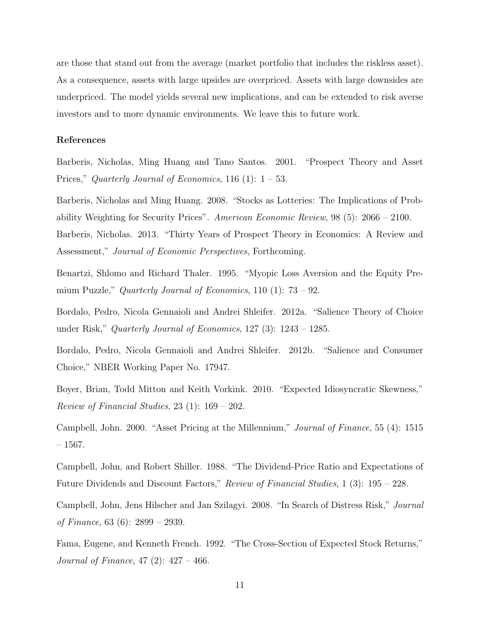are those that stand out from the average (market portfolio that includes the riskless asset). As a consequence, assets with large upsides are overpriced. Assets with large downsides are underpriced. The model yields several new implications, and can be extended to risk averse investors and to more dynamic environments. We leave this to future work.

#### References

Barberis, Nicholas, Ming Huang and Tano Santos. 2001. "Prospect Theory and Asset Prices," Quarterly Journal of Economics, 116 (1):  $1 - 53$ .

Barberis, Nicholas and Ming Huang. 2008. "Stocks as Lotteries: The Implications of Probability Weighting for Security Prices". American Economic Review, 98 (5): 2066 – 2100.

Barberis, Nicholas. 2013. "Thirty Years of Prospect Theory in Economics: A Review and Assessment," Journal of Economic Perspectives, Forthcoming.

Benartzi, Shlomo and Richard Thaler. 1995. "Myopic Loss Aversion and the Equity Premium Puzzle," Quarterly Journal of Economics, 110 (1):  $73 - 92$ .

Bordalo, Pedro, Nicola Gennaioli and Andrei Shleifer. 2012a. "Salience Theory of Choice under Risk," Quarterly Journal of Economics, 127 (3): 1243 – 1285.

Bordalo, Pedro, Nicola Gennaioli and Andrei Shleifer. 2012b. "Salience and Consumer Choice," NBER Working Paper No. 17947.

Boyer, Brian, Todd Mitton and Keith Vorkink. 2010. "Expected Idiosyncratic Skewness," Review of Financial Studies, 23 (1): 169 – 202.

Campbell, John. 2000. "Asset Pricing at the Millennium," Journal of Finance, 55 (4): 1515  $-1567.$ 

Campbell, John, and Robert Shiller. 1988. "The Dividend-Price Ratio and Expectations of Future Dividends and Discount Factors," Review of Financial Studies, 1 (3): 195 – 228.

Campbell, John, Jens Hilscher and Jan Szilagyi. 2008. "In Search of Distress Risk," Journal of Finance, 63 (6): 2899 – 2939.

Fama, Eugene, and Kenneth French. 1992. "The Cross-Section of Expected Stock Returns," *Journal of Finance*, 47 (2):  $427 - 466$ .